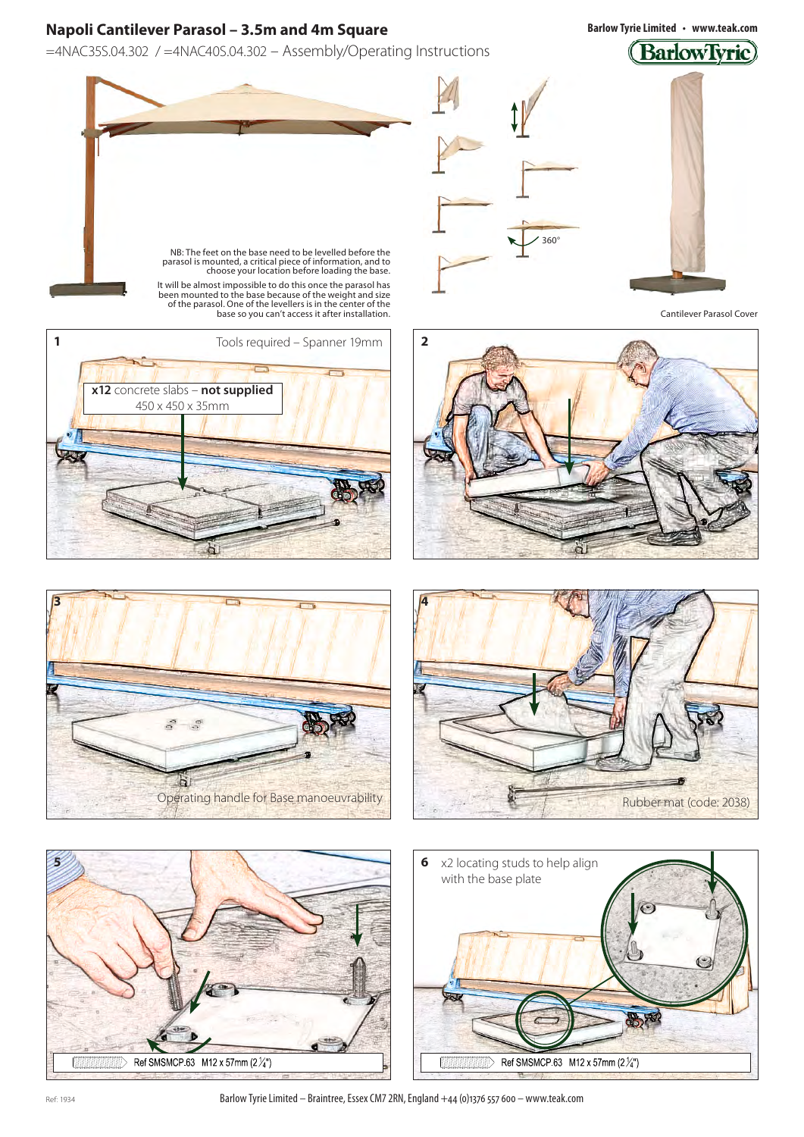=4NAC35S.04.302 / =4NAC40S.04.302 – Assembly/Operating Instructions

**Barlow Tyrie Limited • www.teak.com**

# (BarlowTyrie)







360°

It will be almost impossible to do this once the parasol has been mounted to the base because of the weight and size of the parasol. One of the levellers is in the center of the base so you can't access it after installation.







 $\frac{1}{2}$  Ref SMSMCP.63 M12 x 57mm (2 $\frac{1}{4}$ ")



**3** L  $-\frac{\pi}{2}$ 

Ref: 1934 **Barlow Tyrie Limited – Braintree, Essex CM7 2RN, England +44 (0)1376 557 600 – www.teak.com**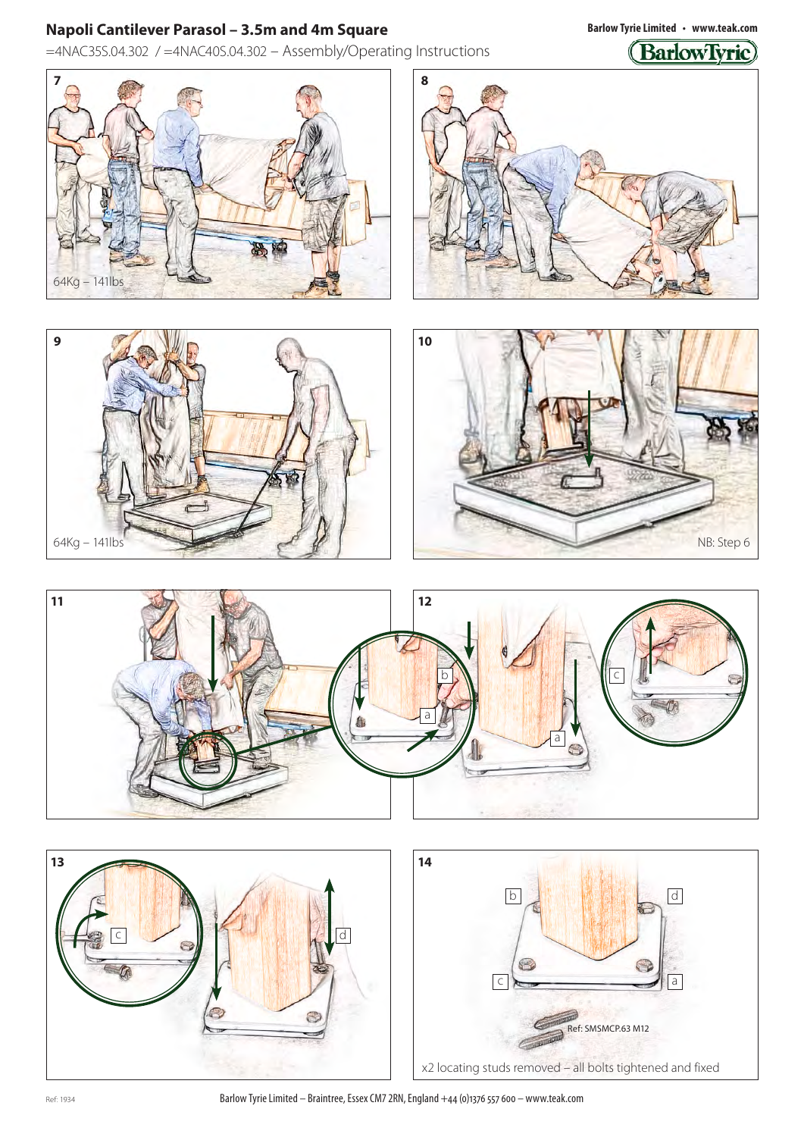=4NAC35S.04.302 / =4NAC40S.04.302 – Assembly/Operating Instructions

64Kg – 141lbs **7 8**



**Barlow Tyrie Limited • www.teak.com**









Ref: 1934 **Barlow Tyrie Limited – Braintree, Essex CM7 2RN, England +44 (0)1376 557 600 – www.teak.com**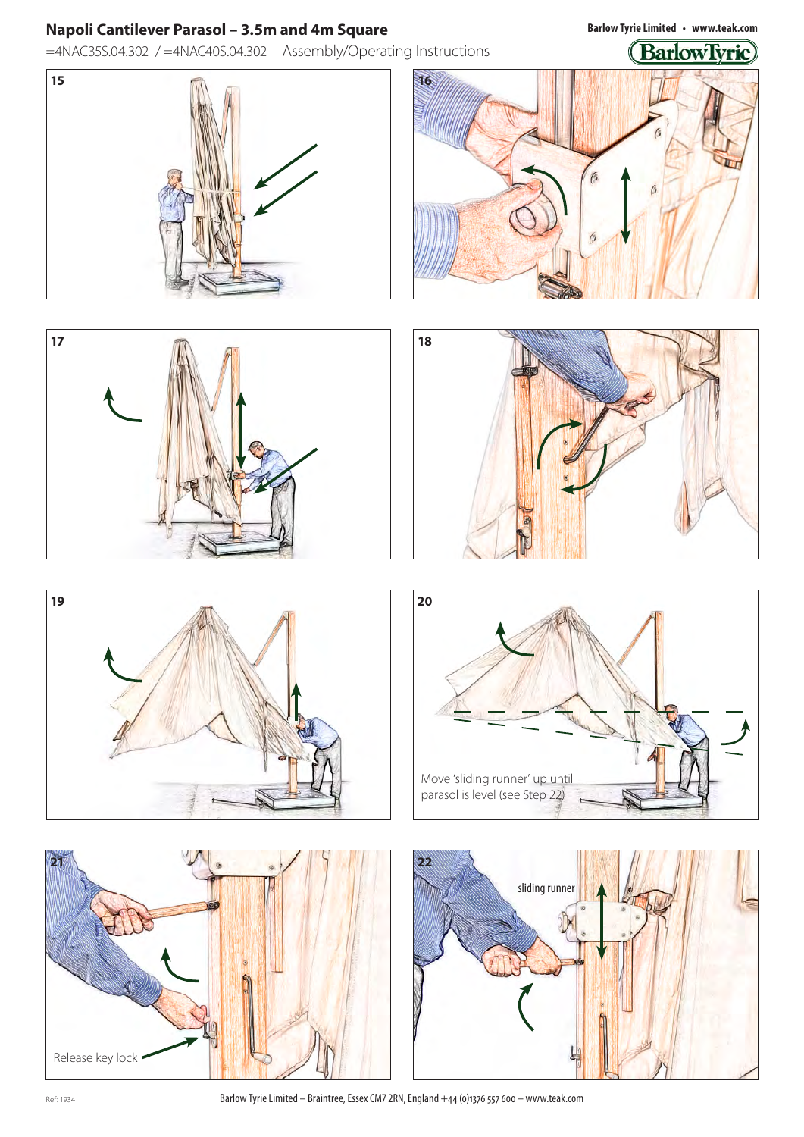=4NAC35S.04.302 / =4NAC40S.04.302 – Assembly/Operating Instructions

**Barlow Tyrie Limited • www.teak.com**

## (BarlowTvrie)